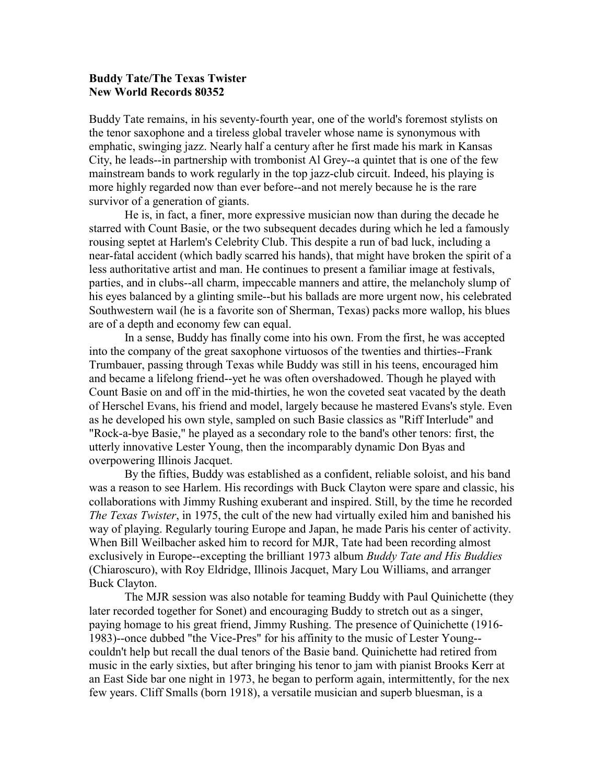## **Buddy Tate/The Texas Twister New World Records 80352**

Buddy Tate remains, in his seventy-fourth year, one of the world's foremost stylists on the tenor saxophone and a tireless global traveler whose name is synonymous with emphatic, swinging jazz. Nearly half a century after he first made his mark in Kansas City, he leads--in partnership with trombonist Al Grey--a quintet that is one of the few mainstream bands to work regularly in the top jazz-club circuit. Indeed, his playing is more highly regarded now than ever before--and not merely because he is the rare survivor of a generation of giants.

He is, in fact, a finer, more expressive musician now than during the decade he starred with Count Basie, or the two subsequent decades during which he led a famously rousing septet at Harlem's Celebrity Club. This despite a run of bad luck, including a near-fatal accident (which badly scarred his hands), that might have broken the spirit of a less authoritative artist and man. He continues to present a familiar image at festivals, parties, and in clubs--all charm, impeccable manners and attire, the melancholy slump of his eyes balanced by a glinting smile--but his ballads are more urgent now, his celebrated Southwestern wail (he is a favorite son of Sherman, Texas) packs more wallop, his blues are of a depth and economy few can equal.

In a sense, Buddy has finally come into his own. From the first, he was accepted into the company of the great saxophone virtuosos of the twenties and thirties--Frank Trumbauer, passing through Texas while Buddy was still in his teens, encouraged him and became a lifelong friend--yet he was often overshadowed. Though he played with Count Basie on and off in the mid-thirties, he won the coveted seat vacated by the death of Herschel Evans, his friend and model, largely because he mastered Evans's style. Even as he developed his own style, sampled on such Basie classics as "Riff Interlude" and "Rock-a-bye Basie," he played as a secondary role to the band's other tenors: first, the utterly innovative Lester Young, then the incomparably dynamic Don Byas and overpowering Illinois Jacquet.

By the fifties, Buddy was established as a confident, reliable soloist, and his band was a reason to see Harlem. His recordings with Buck Clayton were spare and classic, his collaborations with Jimmy Rushing exuberant and inspired. Still, by the time he recorded *The Texas Twister*, in 1975, the cult of the new had virtually exiled him and banished his way of playing. Regularly touring Europe and Japan, he made Paris his center of activity. When Bill Weilbacher asked him to record for MJR, Tate had been recording almost exclusively in Europe--excepting the brilliant 1973 album *Buddy Tate and His Buddies* (Chiaroscuro), with Roy Eldridge, Illinois Jacquet, Mary Lou Williams, and arranger Buck Clayton.

The MJR session was also notable for teaming Buddy with Paul Quinichette (they later recorded together for Sonet) and encouraging Buddy to stretch out as a singer, paying homage to his great friend, Jimmy Rushing. The presence of Quinichette (1916- 1983)--once dubbed "the Vice-Pres" for his affinity to the music of Lester Young- couldn't help but recall the dual tenors of the Basie band. Quinichette had retired from music in the early sixties, but after bringing his tenor to jam with pianist Brooks Kerr at an East Side bar one night in 1973, he began to perform again, intermittently, for the nex few years. Cliff Smalls (born 1918), a versatile musician and superb bluesman, is a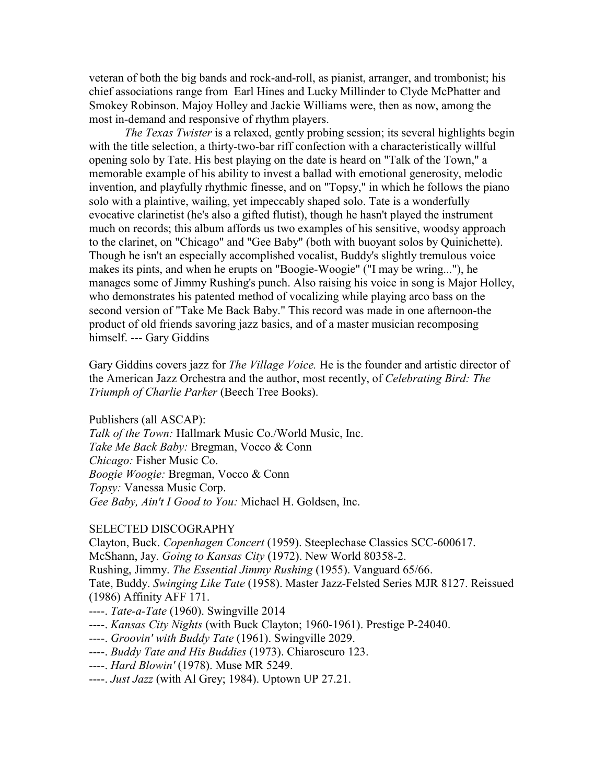veteran of both the big bands and rock-and-roll, as pianist, arranger, and trombonist; his chief associations range from Earl Hines and Lucky Millinder to Clyde McPhatter and Smokey Robinson. Majoy Holley and Jackie Williams were, then as now, among the most in-demand and responsive of rhythm players.

*The Texas Twister* is a relaxed, gently probing session; its several highlights begin with the title selection, a thirty-two-bar riff confection with a characteristically willful opening solo by Tate. His best playing on the date is heard on "Talk of the Town," a memorable example of his ability to invest a ballad with emotional generosity, melodic invention, and playfully rhythmic finesse, and on "Topsy," in which he follows the piano solo with a plaintive, wailing, yet impeccably shaped solo. Tate is a wonderfully evocative clarinetist (he's also a gifted flutist), though he hasn't played the instrument much on records; this album affords us two examples of his sensitive, woodsy approach to the clarinet, on "Chicago" and "Gee Baby" (both with buoyant solos by Quinichette). Though he isn't an especially accomplished vocalist, Buddy's slightly tremulous voice makes its pints, and when he erupts on "Boogie-Woogie" ("I may be wring..."), he manages some of Jimmy Rushing's punch. Also raising his voice in song is Major Holley, who demonstrates his patented method of vocalizing while playing arco bass on the second version of "Take Me Back Baby." This record was made in one afternoon-the product of old friends savoring jazz basics, and of a master musician recomposing himself. --- Gary Giddins

Gary Giddins covers jazz for *The Village Voice.* He is the founder and artistic director of the American Jazz Orchestra and the author, most recently, of *Celebrating Bird: The Triumph of Charlie Parker* (Beech Tree Books).

Publishers (all ASCAP):

*Talk of the Town:* Hallmark Music Co./World Music, Inc. *Take Me Back Baby:* Bregman, Vocco & Conn *Chicago:* Fisher Music Co. *Boogie Woogie:* Bregman, Vocco & Conn *Topsy:* Vanessa Music Corp. *Gee Baby, Ain't I Good to You:* Michael H. Goldsen, Inc.

## SELECTED DISCOGRAPHY

Clayton, Buck. *Copenhagen Concert* (1959). Steeplechase Classics SCC-600617. McShann, Jay. *Going to Kansas City* (1972). New World 80358-2. Rushing, Jimmy. *The Essential Jimmy Rushing* (1955). Vanguard 65/66. Tate, Buddy. *Swinging Like Tate* (1958). Master Jazz-Felsted Series MJR 8127. Reissued (1986) Affinity AFF 171. ----. *Tate-a-Tate* (1960). Swingville 2014

- ----. *Kansas City Nights* (with Buck Clayton; 1960-1961). Prestige P-24040.
- ----. *Groovin' with Buddy Tate* (1961). Swingville 2029.
- ----. *Buddy Tate and His Buddies* (1973). Chiaroscuro 123.
- ----. *Hard Blowin'* (1978). Muse MR 5249.
- ----. *Just Jazz* (with Al Grey; 1984). Uptown UP 27.21.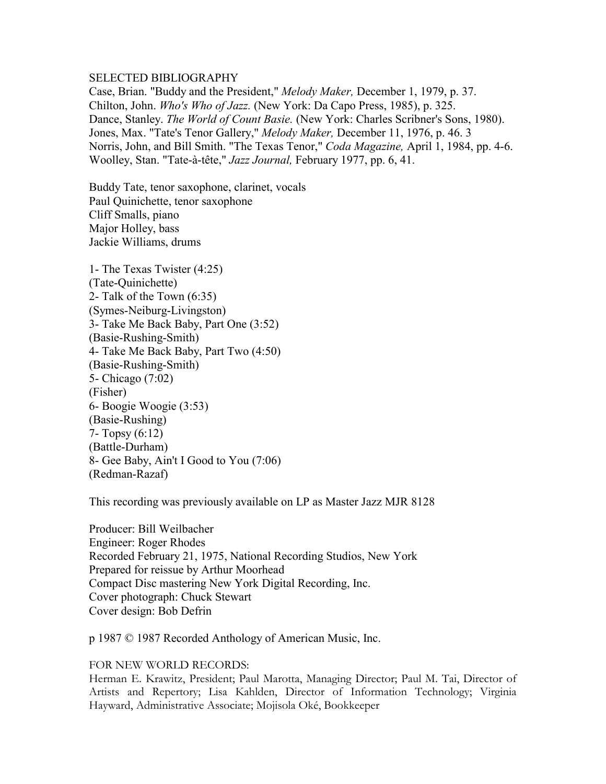## SELECTED BIBLIOGRAPHY

Case, Brian. "Buddy and the President," *Melody Maker,* December 1, 1979, p. 37. Chilton, John. *Who's Who of Jazz.* (New York: Da Capo Press, 1985), p. 325. Dance, Stanley. *The World of Count Basie.* (New York: Charles Scribner's Sons, 1980). Jones, Max. "Tate's Tenor Gallery," *Melody Maker,* December 11, 1976, p. 46. 3 Norris, John, and Bill Smith. "The Texas Tenor," *Coda Magazine,* April 1, 1984, pp. 4-6. Woolley, Stan. "Tate-à-tête," *Jazz Journal,* February 1977, pp. 6, 41.

Buddy Tate, tenor saxophone, clarinet, vocals Paul Quinichette, tenor saxophone Cliff Smalls, piano Major Holley, bass Jackie Williams, drums

1- The Texas Twister (4:25) (Tate-Quinichette) 2- Talk of the Town (6:35) (Symes-Neiburg-Livingston) 3- Take Me Back Baby, Part One (3:52) (Basie-Rushing-Smith) 4- Take Me Back Baby, Part Two (4:50) (Basie-Rushing-Smith) 5- Chicago (7:02) (Fisher) 6- Boogie Woogie (3:53) (Basie-Rushing) 7- Topsy (6:12) (Battle-Durham) 8- Gee Baby, Ain't I Good to You (7:06) (Redman-Razaf)

This recording was previously available on LP as Master Jazz MJR 8128

Producer: Bill Weilbacher Engineer: Roger Rhodes Recorded February 21, 1975, National Recording Studios, New York Prepared for reissue by Arthur Moorhead Compact Disc mastering New York Digital Recording, Inc. Cover photograph: Chuck Stewart Cover design: Bob Defrin

p 1987 © 1987 Recorded Anthology of American Music, Inc.

FOR NEW WORLD RECORDS:

Herman E. Krawitz, President; Paul Marotta, Managing Director; Paul M. Tai, Director of Artists and Repertory; Lisa Kahlden, Director of Information Technology; Virginia Hayward, Administrative Associate; Mojisola Oké, Bookkeeper